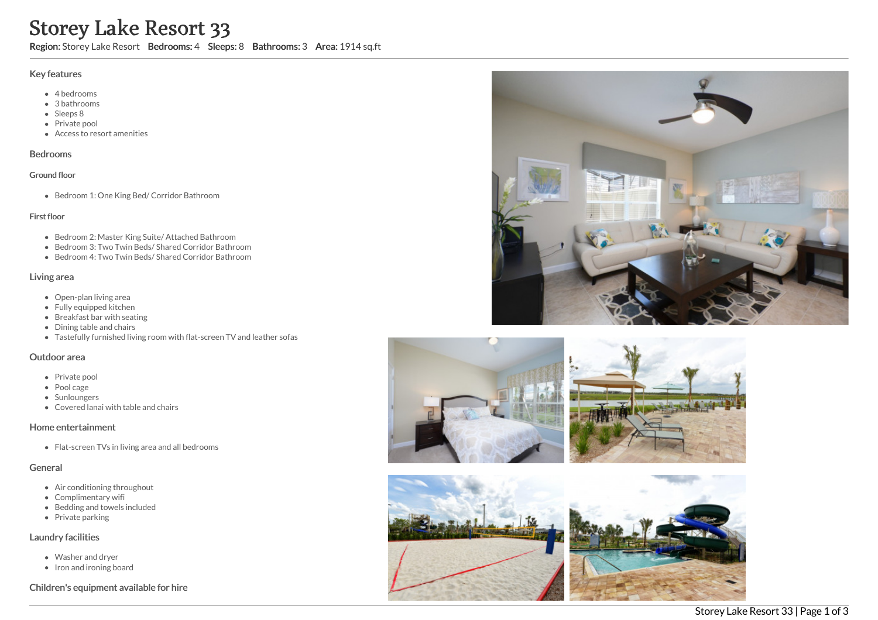# Storey Lake Resort 33

Region: Storey Lake Resort Bedrooms: 4 Sleeps: 8 Bathrooms: 3 Area: 1914 sq.ft

#### Key features

- 4 bedrooms
- 3 bathrooms
- Sleeps 8
- Private pool
- Access to resort amenities

#### Bedrooms

#### Ground floor

Bedroom 1: One King Bed/ Corridor Bathroom

#### First floor

- Bedroom 2: Master King Suite/ Attached Bathroom
- Bedroom 3: Two Twin Beds/ Shared Corridor Bathroom
- Bedroom 4: Two Twin Beds/ Shared Corridor Bathroom

## Living area

- Open-plan living area
- Fully equipped kitchen
- Breakfast bar with seating
- Dining table and chairs
- Tastefully furnished living room with flat-screen TV and leather sofas

#### Outdoor area

- Private pool
- Pool cage
- Sunloungers
- Covered lanai with table and chairs

## Home entertainment

• Flat-screen TVs in living area and all bedrooms

#### General

- Air conditioning throughout
- Complimentary wifi
- Bedding and towels included
- Private parking

## Laundry facilities

- Washer and dryer
- Iron and ironing board

## Children's equipment available for hire







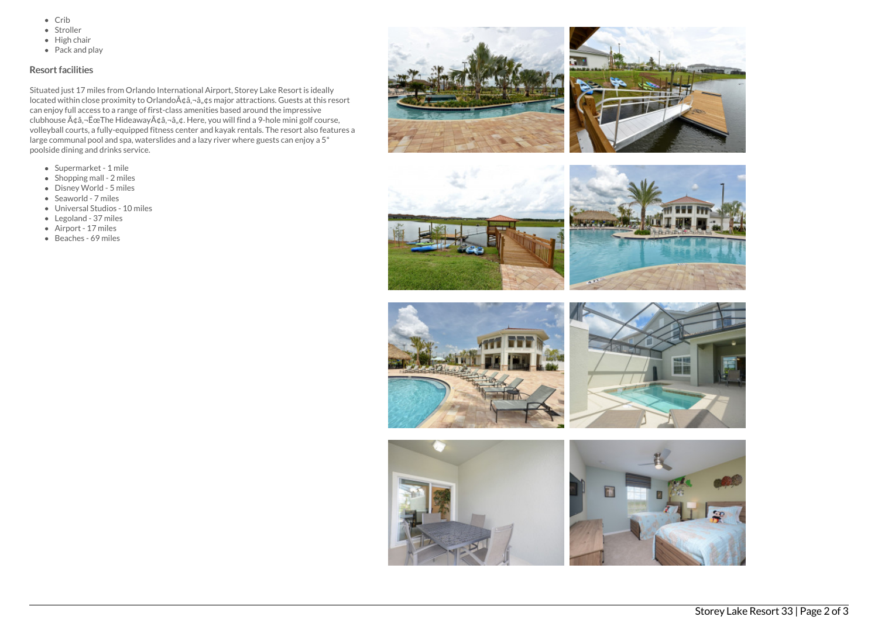- $\bullet$  Crib
- Stroller
- $\bullet$  High chair
- Pack and play

## Resort facilities

Situated just 17 miles from Orlando International Airport, Storey Lake Resort is ideally located within close proximity to Orlando à ¢â, ¬â, ¢s major attractions. Guests at this resort can enjoy full access to a range of first-class amenities based around the impressive clubhouse  $A\phi$ â, - ËœThe Hideaway $A\phi$ â, - â, ¢. Here, you will find a 9-hole mini golf course, volleyball courts, a fully-equipped fitness center and kayak rentals. The resort also features a large communal pool and spa, waterslides and a lazy river where guests can enjoy a 5\* poolside dining and drinks service.

- Supermarket 1 mile
- Shopping mall 2 miles
- Disney World 5 miles
- Seaworld 7 miles
- Universal Studios 10 miles
- Legoland 37 miles
- Airport 17 miles
- Beaches 69 miles